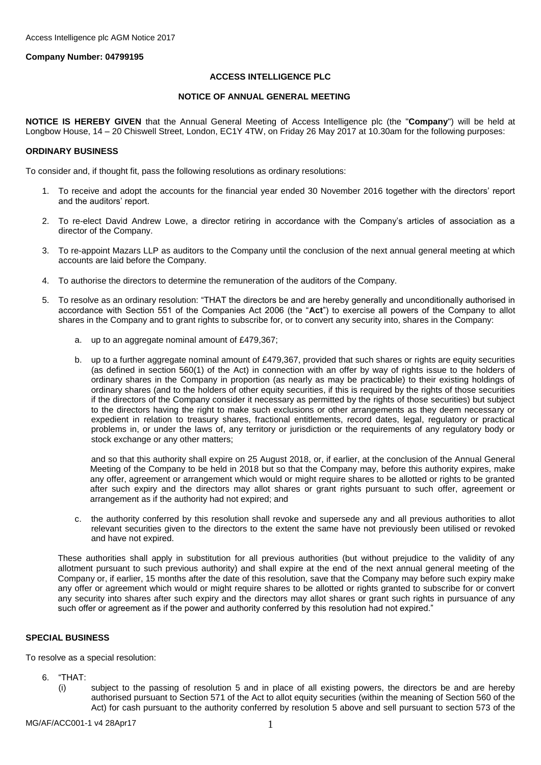## **Company Number: 04799195**

## **ACCESS INTELLIGENCE PLC**

## **NOTICE OF ANNUAL GENERAL MEETING**

**NOTICE IS HEREBY GIVEN** that the Annual General Meeting of Access Intelligence plc (the "**Company**") will be held at Longbow House, 14 – 20 Chiswell Street, London, EC1Y 4TW, on Friday 26 May 2017 at 10.30am for the following purposes:

#### **ORDINARY BUSINESS**

To consider and, if thought fit, pass the following resolutions as ordinary resolutions:

- 1. To receive and adopt the accounts for the financial year ended 30 November 2016 together with the directors' report and the auditors' report.
- 2. To re-elect David Andrew Lowe, a director retiring in accordance with the Company's articles of association as a director of the Company.
- 3. To re-appoint Mazars LLP as auditors to the Company until the conclusion of the next annual general meeting at which accounts are laid before the Company.
- 4. To authorise the directors to determine the remuneration of the auditors of the Company.
- 5. To resolve as an ordinary resolution: "THAT the directors be and are hereby generally and unconditionally authorised in accordance with Section 551 of the Companies Act 2006 (the "**Act**") to exercise all powers of the Company to allot shares in the Company and to grant rights to subscribe for, or to convert any security into, shares in the Company:
	- a. up to an aggregate nominal amount of £479,367;
	- b. up to a further aggregate nominal amount of £479,367, provided that such shares or rights are equity securities (as defined in section 560(1) of the Act) in connection with an offer by way of rights issue to the holders of ordinary shares in the Company in proportion (as nearly as may be practicable) to their existing holdings of ordinary shares (and to the holders of other equity securities, if this is required by the rights of those securities if the directors of the Company consider it necessary as permitted by the rights of those securities) but subject to the directors having the right to make such exclusions or other arrangements as they deem necessary or expedient in relation to treasury shares, fractional entitlements, record dates, legal, regulatory or practical problems in, or under the laws of, any territory or jurisdiction or the requirements of any regulatory body or stock exchange or any other matters;

and so that this authority shall expire on 25 August 2018, or, if earlier, at the conclusion of the Annual General Meeting of the Company to be held in 2018 but so that the Company may, before this authority expires, make any offer, agreement or arrangement which would or might require shares to be allotted or rights to be granted after such expiry and the directors may allot shares or grant rights pursuant to such offer, agreement or arrangement as if the authority had not expired; and

c. the authority conferred by this resolution shall revoke and supersede any and all previous authorities to allot relevant securities given to the directors to the extent the same have not previously been utilised or revoked and have not expired.

These authorities shall apply in substitution for all previous authorities (but without prejudice to the validity of any allotment pursuant to such previous authority) and shall expire at the end of the next annual general meeting of the Company or, if earlier, 15 months after the date of this resolution, save that the Company may before such expiry make any offer or agreement which would or might require shares to be allotted or rights granted to subscribe for or convert any security into shares after such expiry and the directors may allot shares or grant such rights in pursuance of any such offer or agreement as if the power and authority conferred by this resolution had not expired."

## **SPECIAL BUSINESS**

To resolve as a special resolution:

- 6. "THAT:
	- (i) subject to the passing of resolution 5 and in place of all existing powers, the directors be and are hereby authorised pursuant to Section 571 of the Act to allot equity securities (within the meaning of Section 560 of the Act) for cash pursuant to the authority conferred by resolution 5 above and sell pursuant to section 573 of the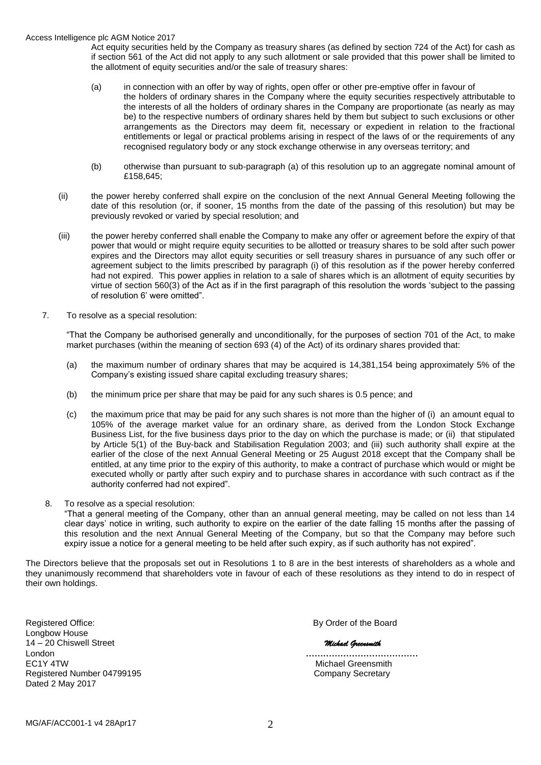#### Access Intelligence plc AGM Notice 2017

Act equity securities held by the Company as treasury shares (as defined by section 724 of the Act) for cash as if section 561 of the Act did not apply to any such allotment or sale provided that this power shall be limited to the allotment of equity securities and/or the sale of treasury shares:

- (a) in connection with an offer by way of rights, open offer or other pre-emptive offer in favour of the holders of ordinary shares in the Company where the equity securities respectively attributable to the interests of all the holders of ordinary shares in the Company are proportionate (as nearly as may be) to the respective numbers of ordinary shares held by them but subject to such exclusions or other arrangements as the Directors may deem fit, necessary or expedient in relation to the fractional entitlements or legal or practical problems arising in respect of the laws of or the requirements of any recognised regulatory body or any stock exchange otherwise in any overseas territory; and
- (b) otherwise than pursuant to sub-paragraph (a) of this resolution up to an aggregate nominal amount of £158,645;
- (ii) the power hereby conferred shall expire on the conclusion of the next Annual General Meeting following the date of this resolution (or, if sooner, 15 months from the date of the passing of this resolution) but may be previously revoked or varied by special resolution; and
- (iii) the power hereby conferred shall enable the Company to make any offer or agreement before the expiry of that power that would or might require equity securities to be allotted or treasury shares to be sold after such power expires and the Directors may allot equity securities or sell treasury shares in pursuance of any such offer or agreement subject to the limits prescribed by paragraph (i) of this resolution as if the power hereby conferred had not expired. This power applies in relation to a sale of shares which is an allotment of equity securities by virtue of section 560(3) of the Act as if in the first paragraph of this resolution the words 'subject to the passing of resolution 6' were omitted".
- 7. To resolve as a special resolution:

"That the Company be authorised generally and unconditionally, for the purposes of section 701 of the Act, to make market purchases (within the meaning of section 693 (4) of the Act) of its ordinary shares provided that:

- (a) the maximum number of ordinary shares that may be acquired is 14,381,154 being approximately 5% of the Company's existing issued share capital excluding treasury shares;
- (b) the minimum price per share that may be paid for any such shares is 0.5 pence; and
- (c) the maximum price that may be paid for any such shares is not more than the higher of (i) an amount equal to 105% of the average market value for an ordinary share, as derived from the London Stock Exchange Business List, for the five business days prior to the day on which the purchase is made; or (ii) that stipulated by Article 5(1) of the Buy-back and Stabilisation Regulation 2003; and (iii) such authority shall expire at the earlier of the close of the next Annual General Meeting or 25 August 2018 except that the Company shall be entitled, at any time prior to the expiry of this authority, to make a contract of purchase which would or might be executed wholly or partly after such expiry and to purchase shares in accordance with such contract as if the authority conferred had not expired".
- 8. To resolve as a special resolution:

"That a general meeting of the Company, other than an annual general meeting, may be called on not less than 14 clear days' notice in writing, such authority to expire on the earlier of the date falling 15 months after the passing of this resolution and the next Annual General Meeting of the Company, but so that the Company may before such expiry issue a notice for a general meeting to be held after such expiry, as if such authority has not expired".

The Directors believe that the proposals set out in Resolutions 1 to 8 are in the best interests of shareholders as a whole and they unanimously recommend that shareholders vote in favour of each of these resolutions as they intend to do in respect of their own holdings.

Registered Office: **By Order of the Board** Longbow House 14 – 20 Chiswell Street *Michael Greensmith* London **…………………………………** EC1Y 4TW<br>Registered Number 04799195 **Alternative Company Secretary**<br>Company Secretary Registered Number 04799195 Dated 2 May 2017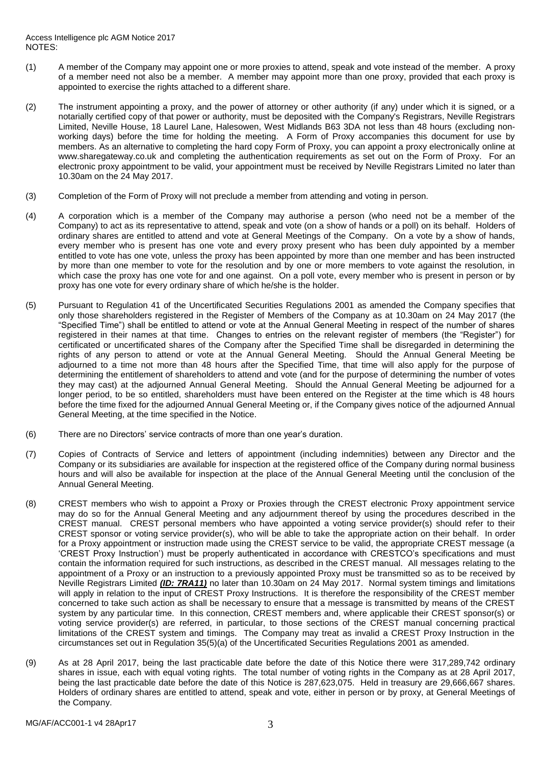- (1) A member of the Company may appoint one or more proxies to attend, speak and vote instead of the member. A proxy of a member need not also be a member. A member may appoint more than one proxy, provided that each proxy is appointed to exercise the rights attached to a different share.
- (2) The instrument appointing a proxy, and the power of attorney or other authority (if any) under which it is signed, or a notarially certified copy of that power or authority, must be deposited with the Company's Registrars, Neville Registrars Limited, Neville House, 18 Laurel Lane, Halesowen, West Midlands B63 3DA not less than 48 hours (excluding nonworking days) before the time for holding the meeting. A Form of Proxy accompanies this document for use by members. As an alternative to completing the hard copy Form of Proxy, you can appoint a proxy electronically online at www.sharegateway.co.uk and completing the authentication requirements as set out on the Form of Proxy. For an electronic proxy appointment to be valid, your appointment must be received by Neville Registrars Limited no later than 10.30am on the 24 May 2017.
- (3) Completion of the Form of Proxy will not preclude a member from attending and voting in person.
- (4) A corporation which is a member of the Company may authorise a person (who need not be a member of the Company) to act as its representative to attend, speak and vote (on a show of hands or a poll) on its behalf. Holders of ordinary shares are entitled to attend and vote at General Meetings of the Company. On a vote by a show of hands, every member who is present has one vote and every proxy present who has been duly appointed by a member entitled to vote has one vote, unless the proxy has been appointed by more than one member and has been instructed by more than one member to vote for the resolution and by one or more members to vote against the resolution, in which case the proxy has one vote for and one against. On a poll vote, every member who is present in person or by proxy has one vote for every ordinary share of which he/she is the holder.
- (5) Pursuant to Regulation 41 of the Uncertificated Securities Regulations 2001 as amended the Company specifies that only those shareholders registered in the Register of Members of the Company as at 10.30am on 24 May 2017 (the "Specified Time") shall be entitled to attend or vote at the Annual General Meeting in respect of the number of shares registered in their names at that time. Changes to entries on the relevant register of members (the "Register") for certificated or uncertificated shares of the Company after the Specified Time shall be disregarded in determining the rights of any person to attend or vote at the Annual General Meeting. Should the Annual General Meeting be adjourned to a time not more than 48 hours after the Specified Time, that time will also apply for the purpose of determining the entitlement of shareholders to attend and vote (and for the purpose of determining the number of votes they may cast) at the adjourned Annual General Meeting. Should the Annual General Meeting be adjourned for a longer period, to be so entitled, shareholders must have been entered on the Register at the time which is 48 hours before the time fixed for the adjourned Annual General Meeting or, if the Company gives notice of the adjourned Annual General Meeting, at the time specified in the Notice.
- (6) There are no Directors' service contracts of more than one year's duration.
- (7) Copies of Contracts of Service and letters of appointment (including indemnities) between any Director and the Company or its subsidiaries are available for inspection at the registered office of the Company during normal business hours and will also be available for inspection at the place of the Annual General Meeting until the conclusion of the Annual General Meeting.
- (8) CREST members who wish to appoint a Proxy or Proxies through the CREST electronic Proxy appointment service may do so for the Annual General Meeting and any adjournment thereof by using the procedures described in the CREST manual. CREST personal members who have appointed a voting service provider(s) should refer to their CREST sponsor or voting service provider(s), who will be able to take the appropriate action on their behalf. In order for a Proxy appointment or instruction made using the CREST service to be valid, the appropriate CREST message (a 'CREST Proxy Instruction') must be properly authenticated in accordance with CRESTCO's specifications and must contain the information required for such instructions, as described in the CREST manual. All messages relating to the appointment of a Proxy or an instruction to a previously appointed Proxy must be transmitted so as to be received by Neville Registrars Limited *(ID: 7RA11)* no later than 10.30am on 24 May 2017. Normal system timings and limitations will apply in relation to the input of CREST Proxy Instructions. It is therefore the responsibility of the CREST member concerned to take such action as shall be necessary to ensure that a message is transmitted by means of the CREST system by any particular time. In this connection, CREST members and, where applicable their CREST sponsor(s) or voting service provider(s) are referred, in particular, to those sections of the CREST manual concerning practical limitations of the CREST system and timings. The Company may treat as invalid a CREST Proxy Instruction in the circumstances set out in Regulation 35(5)(a) of the Uncertificated Securities Regulations 2001 as amended.
- (9) As at 28 April 2017, being the last practicable date before the date of this Notice there were 317,289,742 ordinary shares in issue, each with equal voting rights. The total number of voting rights in the Company as at 28 April 2017, being the last practicable date before the date of this Notice is 287,623,075. Held in treasury are 29,666,667 shares. Holders of ordinary shares are entitled to attend, speak and vote, either in person or by proxy, at General Meetings of the Company.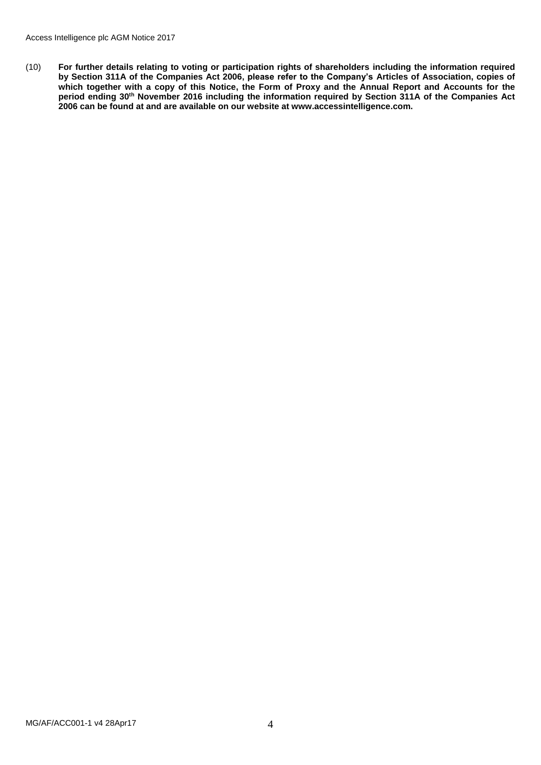(10) **For further details relating to voting or participation rights of shareholders including the information required by Section 311A of the Companies Act 2006, please refer to the Company's Articles of Association, copies of which together with a copy of this Notice, the Form of Proxy and the Annual Report and Accounts for the period ending 30th November 2016 including the information required by Section 311A of the Companies Act 2006 can be found at and are available on our website at www.accessintelligence.com.**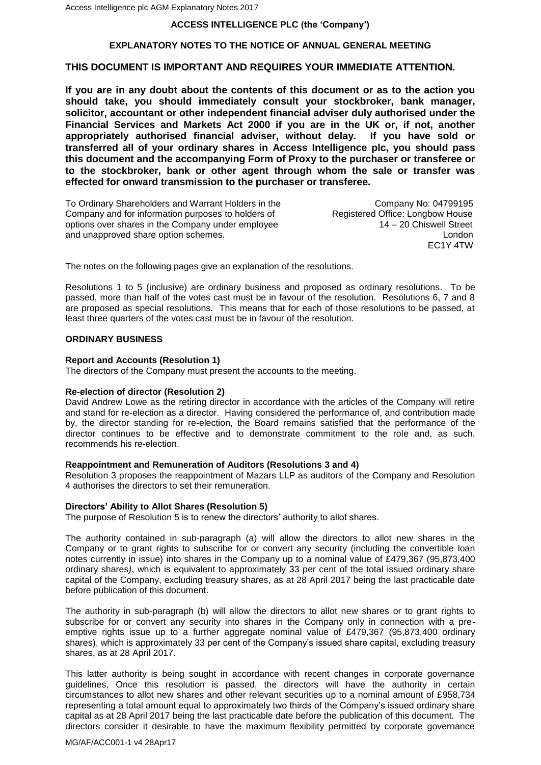## **ACCESS INTELLIGENCE PLC (the 'Company')**

## **EXPLANATORY NOTES TO THE NOTICE OF ANNUAL GENERAL MEETING**

# **THIS DOCUMENT IS IMPORTANT AND REQUIRES YOUR IMMEDIATE ATTENTION.**

**If you are in any doubt about the contents of this document or as to the action you should take, you should immediately consult your stockbroker, bank manager, solicitor, accountant or other independent financial adviser duly authorised under the Financial Services and Markets Act 2000 if you are in the UK or, if not, another appropriately authorised financial adviser, without delay. If you have sold or transferred all of your ordinary shares in Access Intelligence plc, you should pass this document and the accompanying Form of Proxy to the purchaser or transferee or to the stockbroker, bank or other agent through whom the sale or transfer was effected for onward transmission to the purchaser or transferee.**

To Ordinary Shareholders and Warrant Holders in the Company No: 04799195<br>Company and for information purposes to holders of Registered Office: Longbow House Company and for information purposes to holders of options over shares in the Company under employee 14 – 20 Chiswell Street and unapproved share option schemes. London

EC1Y 4TW

The notes on the following pages give an explanation of the resolutions.

Resolutions 1 to 5 (inclusive) are ordinary business and proposed as ordinary resolutions. To be passed, more than half of the votes cast must be in favour of the resolution. Resolutions 6, 7 and 8 are proposed as special resolutions. This means that for each of those resolutions to be passed, at least three quarters of the votes cast must be in favour of the resolution.

#### **ORDINARY BUSINESS**

#### **Report and Accounts (Resolution 1)**

The directors of the Company must present the accounts to the meeting.

#### **Re-election of director (Resolution 2)**

David Andrew Lowe as the retiring director in accordance with the articles of the Company will retire and stand for re-election as a director. Having considered the performance of, and contribution made by, the director standing for re-election, the Board remains satisfied that the performance of the director continues to be effective and to demonstrate commitment to the role and, as such, recommends his re-election.

## **Reappointment and Remuneration of Auditors (Resolutions 3 and 4)**

Resolution 3 proposes the reappointment of Mazars LLP as auditors of the Company and Resolution 4 authorises the directors to set their remuneration.

#### **Directors' Ability to Allot Shares (Resolution 5)**

The purpose of Resolution 5 is to renew the directors' authority to allot shares.

The authority contained in sub-paragraph (a) will allow the directors to allot new shares in the Company or to grant rights to subscribe for or convert any security (including the convertible loan notes currently in issue) into shares in the Company up to a nominal value of £479,367 (95,873,400 ordinary shares*)*, which is equivalent to approximately 33 per cent of the total issued ordinary share capital of the Company, excluding treasury shares, as at 28 April 2017 being the last practicable date before publication of this document.

The authority in sub-paragraph (b) will allow the directors to allot new shares or to grant rights to subscribe for or convert any security into shares in the Company only in connection with a preemptive rights issue up to a further aggregate nominal value of £479,367 (95,873,400 ordinary shares), which is approximately 33 per cent of the Company's issued share capital, excluding treasury shares, as at 28 April 2017.

This latter authority is being sought in accordance with recent changes in corporate governance guidelines, Once this resolution is passed, the directors will have the authority in certain circumstances to allot new shares and other relevant securities up to a nominal amount of £958,734 representing a total amount equal to approximately two thirds of the Company's issued ordinary share capital as at 28 April 2017 being the last practicable date before the publication of this document. The directors consider it desirable to have the maximum flexibility permitted by corporate governance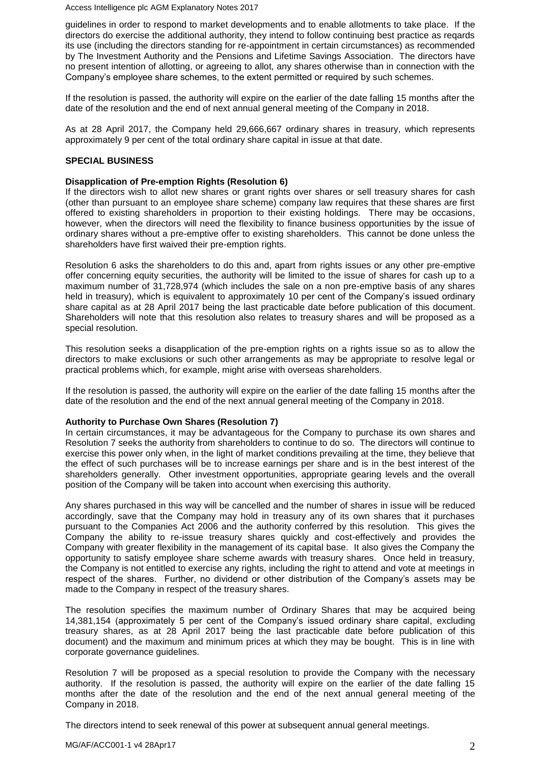Access Intelligence plc AGM Explanatory Notes 2017

guidelines in order to respond to market developments and to enable allotments to take place. If the directors do exercise the additional authority, they intend to follow continuing best practice as reqards its use (including the directors standing for re-appointment in certain circumstances) as recommended by The Investment Authority and the Pensions and Lifetime Savings Association. The directors have no present intention of allotting, or agreeing to allot, any shares otherwise than in connection with the Company's employee share schemes, to the extent permitted or required by such schemes.

If the resolution is passed, the authority will expire on the earlier of the date falling 15 months after the date of the resolution and the end of next annual general meeting of the Company in 2018.

As at 28 April 2017, the Company held 29,666,667 ordinary shares in treasury, which represents approximately 9 per cent of the total ordinary share capital in issue at that date.

## **SPECIAL BUSINESS**

#### **Disapplication of Pre-emption Rights (Resolution 6)**

If the directors wish to allot new shares or grant rights over shares or sell treasury shares for cash (other than pursuant to an employee share scheme) company law requires that these shares are first offered to existing shareholders in proportion to their existing holdings. There may be occasions, however, when the directors will need the flexibility to finance business opportunities by the issue of ordinary shares without a pre-emptive offer to existing shareholders. This cannot be done unless the shareholders have first waived their pre-emption rights.

Resolution 6 asks the shareholders to do this and, apart from rights issues or any other pre-emptive offer concerning equity securities, the authority will be limited to the issue of shares for cash up to a maximum number of 31,728,974 (which includes the sale on a non pre-emptive basis of any shares held in treasury), which is equivalent to approximately 10 per cent of the Company's issued ordinary share capital as at 28 April 2017 being the last practicable date before publication of this document. Shareholders will note that this resolution also relates to treasury shares and will be proposed as a special resolution.

This resolution seeks a disapplication of the pre-emption rights on a rights issue so as to allow the directors to make exclusions or such other arrangements as may be appropriate to resolve legal or practical problems which, for example, might arise with overseas shareholders.

If the resolution is passed, the authority will expire on the earlier of the date falling 15 months after the date of the resolution and the end of the next annual general meeting of the Company in 2018.

## **Authority to Purchase Own Shares (Resolution 7)**

In certain circumstances, it may be advantageous for the Company to purchase its own shares and Resolution 7 seeks the authority from shareholders to continue to do so. The directors will continue to exercise this power only when, in the light of market conditions prevailing at the time, they believe that the effect of such purchases will be to increase earnings per share and is in the best interest of the shareholders generally. Other investment opportunities, appropriate gearing levels and the overall position of the Company will be taken into account when exercising this authority.

Any shares purchased in this way will be cancelled and the number of shares in issue will be reduced accordingly, save that the Company may hold in treasury any of its own shares that it purchases pursuant to the Companies Act 2006 and the authority conferred by this resolution. This gives the Company the ability to re-issue treasury shares quickly and cost-effectively and provides the Company with greater flexibility in the management of its capital base. It also gives the Company the opportunity to satisfy employee share scheme awards with treasury shares. Once held in treasury, the Company is not entitled to exercise any rights, including the right to attend and vote at meetings in respect of the shares. Further, no dividend or other distribution of the Company's assets may be made to the Company in respect of the treasury shares.

The resolution specifies the maximum number of Ordinary Shares that may be acquired being 14,381,154 (approximately 5 per cent of the Company's issued ordinary share capital, excluding treasury shares, as at 28 April 2017 being the last practicable date before publication of this document) and the maximum and minimum prices at which they may be bought. This is in line with corporate governance guidelines.

Resolution 7 will be proposed as a special resolution to provide the Company with the necessary authority. If the resolution is passed, the authority will expire on the earlier of the date falling 15 months after the date of the resolution and the end of the next annual general meeting of the Company in 2018.

The directors intend to seek renewal of this power at subsequent annual general meetings.